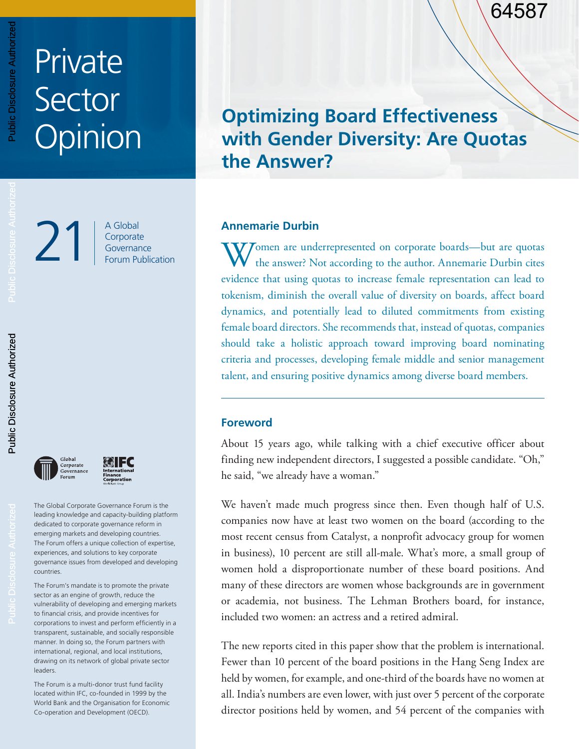# **Private** Sector

**21** A Global<br>Governar **Corporate Governance** Forum Publication



Global Corporate

The Global Corporate Governance Forum is the leading knowledge and capacity-building platform dedicated to corporate governance reform in emerging markets and developing countries. The Forum offers a unique collection of expertise, experiences, and solutions to key corporate governance issues from developed and developing countries.

The Forum's mandate is to promote the private sector as an engine of growth, reduce the vulnerability of developing and emerging markets to financial crisis, and provide incentives for corporations to invest and perform efficiently in a transparent, sustainable, and socially responsible manner. In doing so, the Forum partners with international, regional, and local institutions, drawing on its network of global private sector leaders.

The Forum is a multi-donor trust fund facility located within IFC, co-founded in 1999 by the World Bank and the Organisation for Economic Co-operation and Development (OECD).

## **Opinion Manuscript Christian Christian Christian Christian Christian Christian Christian Christian Christian Christian Christian Christian Christian Christian Christian Christian Christian Christian Christian Christian Ch the Answer?**

#### **Annemarie Durbin**

Women are underrepresented on corporate boards—but are quotas the answer? Not according to the author. Annemarie Durbin cites evidence that using quotas to increase female representation can lead to tokenism, diminish the overall value of diversity on boards, affect board dynamics, and potentially lead to diluted commitments from existing female board directors. She recommends that, instead of quotas, companies should take a holistic approach toward improving board nominating criteria and processes, developing female middle and senior management talent, and ensuring positive dynamics among diverse board members.

#### **Foreword**

About 15 years ago, while talking with a chief executive officer about finding new independent directors, I suggested a possible candidate. "Oh," he said, "we already have a woman."

We haven't made much progress since then. Even though half of U.S. companies now have at least two women on the board (according to the most recent census from Catalyst, a nonprofit advocacy group for women in business), 10 percent are still all-male. What's more, a small group of women hold a disproportionate number of these board positions. And many of these directors are women whose backgrounds are in government or academia, not business. The Lehman Brothers board, for instance, included two women: an actress and a retired admiral.

The new reports cited in this paper show that the problem is international. Fewer than 10 percent of the board positions in the Hang Seng Index are held by women, for example, and one-third of the boards have no women at all. India's numbers are even lower, with just over 5 percent of the corporate director positions held by women, and 54 percent of the companies with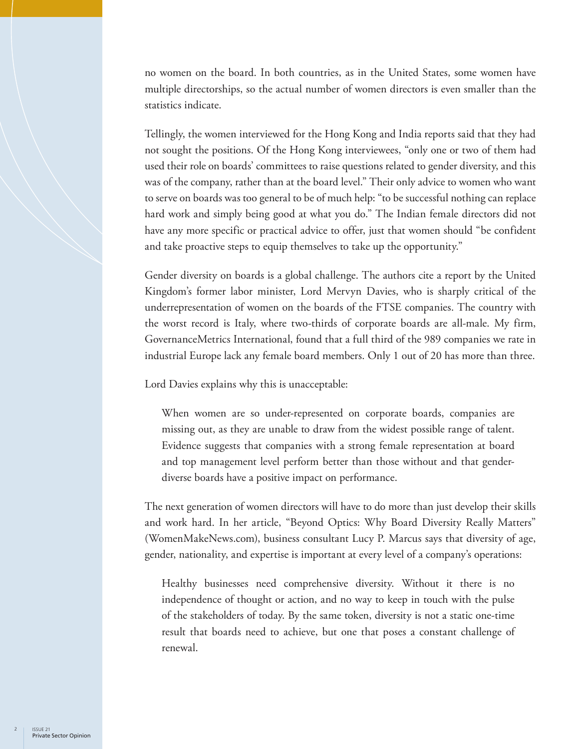no women on the board. In both countries, as in the United States, some women have multiple directorships, so the actual number of women directors is even smaller than the statistics indicate.

Tellingly, the women interviewed for the Hong Kong and India reports said that they had not sought the positions. Of the Hong Kong interviewees, "only one or two of them had used their role on boards' committees to raise questions related to gender diversity, and this was of the company, rather than at the board level." Their only advice to women who want to serve on boards was too general to be of much help: "to be successful nothing can replace hard work and simply being good at what you do." The Indian female directors did not have any more specific or practical advice to offer, just that women should "be confident and take proactive steps to equip themselves to take up the opportunity."

Gender diversity on boards is a global challenge. The authors cite a report by the United Kingdom's former labor minister, Lord Mervyn Davies, who is sharply critical of the underrepresentation of women on the boards of the FTSE companies. The country with the worst record is Italy, where two-thirds of corporate boards are all-male. My firm, GovernanceMetrics International, found that a full third of the 989 companies we rate in industrial Europe lack any female board members. Only 1 out of 20 has more than three.

Lord Davies explains why this is unacceptable:

When women are so under-represented on corporate boards, companies are missing out, as they are unable to draw from the widest possible range of talent. Evidence suggests that companies with a strong female representation at board and top management level perform better than those without and that genderdiverse boards have a positive impact on performance.

The next generation of women directors will have to do more than just develop their skills and work hard. In her article, "Beyond Optics: Why Board Diversity Really Matters" (WomenMakeNews.com), business consultant Lucy P. Marcus says that diversity of age, gender, nationality, and expertise is important at every level of a company's operations:

Healthy businesses need comprehensive diversity. Without it there is no independence of thought or action, and no way to keep in touch with the pulse of the stakeholders of today. By the same token, diversity is not a static one-time result that boards need to achieve, but one that poses a constant challenge of renewal.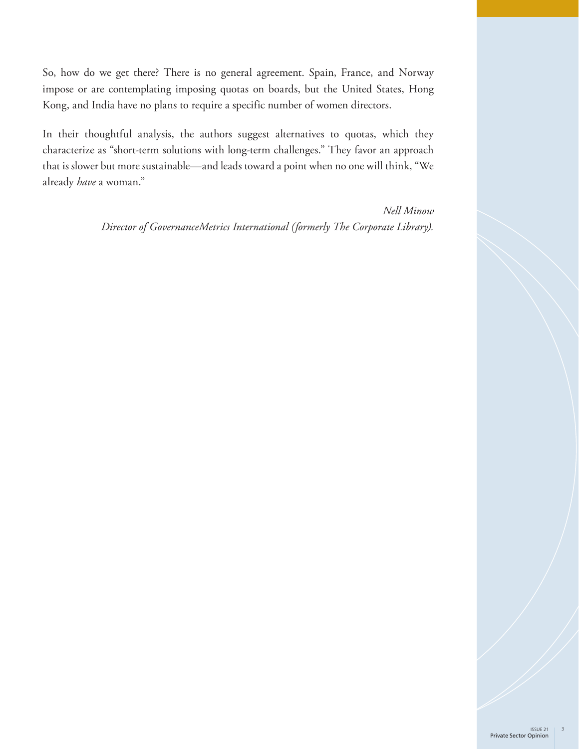So, how do we get there? There is no general agreement. Spain, France, and Norway impose or are contemplating imposing quotas on boards, but the United States, Hong Kong, and India have no plans to require a specific number of women directors.

In their thoughtful analysis, the authors suggest alternatives to quotas, which they characterize as "short-term solutions with long-term challenges." They favor an approach that is slower but more sustainable—and leads toward a point when no one will think, "We already *have* a woman."

> Nell Minow *Nell Minow Director of GovernanceMetrics International (formerly The Corporate Library).*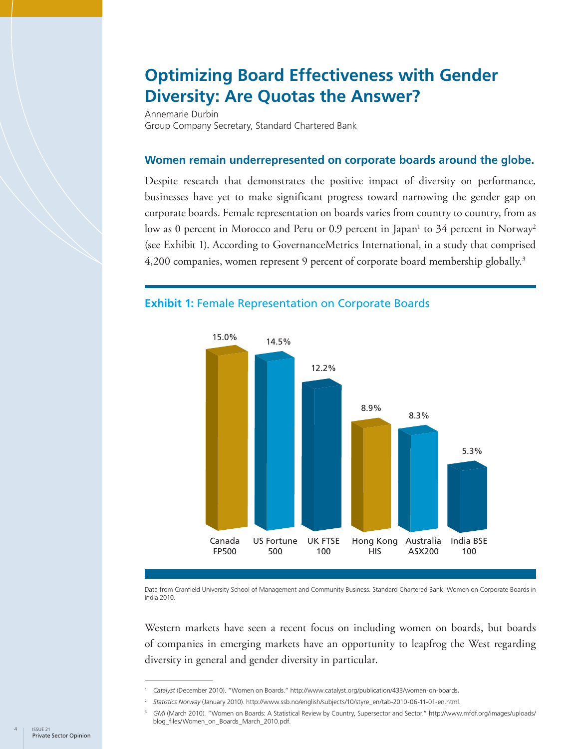### **Optimizing Board Effectiveness with Gender Diversity: Are Quotas the Answer?**

Annemarie Durbin Group Company Secretary, Standard Chartered Bank

#### **Women remain underrepresented on corporate boards around the globe.**

Despite research that demonstrates the positive impact of diversity on performance, businesses have yet to make significant progress toward narrowing the gender gap on corporate boards. Female representation on boards varies from country to country, from as low as 0 percent in Morocco and Peru or 0.9 percent in Japan<sup>1</sup> to 34 percent in Norway<sup>2</sup> (see Exhibit 1). According to GovernanceMetrics International, in a study that comprised 4,200 companies, women represent 9 percent of corporate board membership globally.3

#### **Exhibit 1:** Female Representation on Corporate Boards



Data from Cranfield University School of Management and Community Business. Standard Chartered Bank: Women on Corporate Boards in India 2010.

Western markets have seen a recent focus on including women on boards, but boards of companies in emerging markets have an opportunity to leapfrog the West regarding diversity in general and gender diversity in particular.

<sup>1</sup> *Catalyst* (December 2010). "Women on Boards." http://www.catalyst.org/publication/433/women-on-boards.

<sup>2</sup> *Statistics Norway* (January 2010). http://www.ssb.no/english/subjects/10/styre\_en/tab-2010-06-11-01-en.html.

GMI (March 2010). "Women on Boards: A Statistical Review by Country, Supersector and Sector." http://www.mfdf.org/images/uploads/ blog\_files/Women\_on\_Boards\_March\_2010.pdf.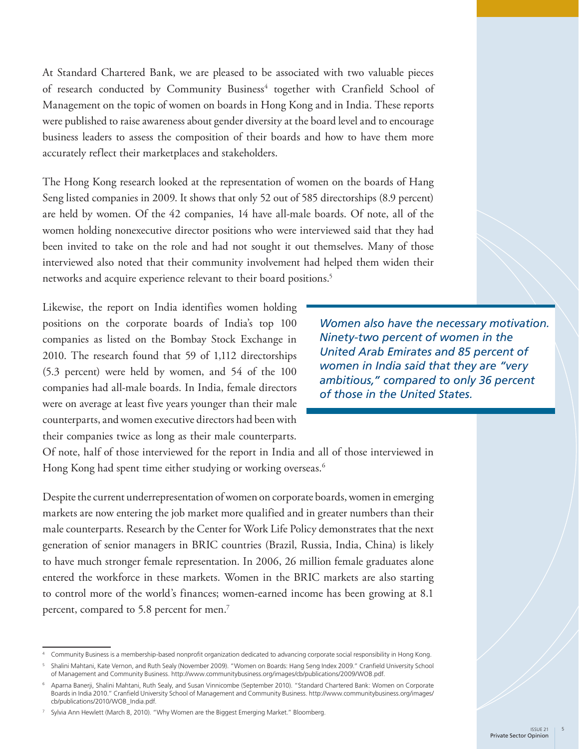At Standard Chartered Bank, we are pleased to be associated with two valuable pieces of research conducted by Community Business<sup>4</sup> together with Cranfield School of Management on the topic of women on boards in Hong Kong and in India. These reports were published to raise awareness about gender diversity at the board level and to encourage business leaders to assess the composition of their boards and how to have them more accurately reflect their marketplaces and stakeholders.

The Hong Kong research looked at the representation of women on the boards of Hang Seng listed companies in 2009. It shows that only 52 out of 585 directorships (8.9 percent) are held by women. Of the 42 companies, 14 have all-male boards. Of note, all of the women holding nonexecutive director positions who were interviewed said that they had been invited to take on the role and had not sought it out themselves. Many of those interviewed also noted that their community involvement had helped them widen their networks and acquire experience relevant to their board positions.<sup>5</sup>

Likewise, the report on India identifies women holding positions on the corporate boards of India's top 100 companies as listed on the Bombay Stock Exchange in 2010. The research found that 59 of 1,112 directorships (5.3 percent) were held by women, and 54 of the 100 companies had all-male boards. In India, female directors were on average at least five years younger than their male counterparts, and women executive directors had been with their companies twice as long as their male counterparts.

*Women also have the necessary motivation. Ninety-two percent of women in the United Arab Emirates and 85 percent of women in India said that they are "very ambitious," compared to only 36 percent of those in the United States.*

Of note, half of those interviewed for the report in India and all of those interviewed in Hong Kong had spent time either studying or working overseas.<sup>6</sup>

Despite the current underrepresentation of women on corporate boards, women in emerging markets are now entering the job market more qualified and in greater numbers than their male counterparts. Research by the Center for Work Life Policy demonstrates that the next generation of senior managers in BRIC countries (Brazil, Russia, India, China) is likely to have much stronger female representation. In 2006, 26 million female graduates alone entered the workforce in these markets. Women in the BRIC markets are also starting to control more of the world's finances; women-earned income has been growing at 8.1 percent, compared to 5.8 percent for men.<sup>7</sup>

<sup>4</sup> Community Business is a membership-based nonprofit organization dedicated to advancing corporate social responsibility in Hong Kong.

<sup>5</sup> Shalini Mahtani, Kate Vernon, and Ruth Sealy (November 2009). "Women on Boards: Hang Seng Index 2009." Cranfield University School of Management and Community Business. http://www.communitybusiness.org/images/cb/publications/2009/WOB.pdf.

<sup>6</sup> Aparna Banerji, Shalini Mahtani, Ruth Sealy, and Susan Vinnicombe (September 2010). "Standard Chartered Bank: Women on Corporate Boards in India 2010." Cranfield University School of Management and Community Business. http://www.communitybusiness.org/images/ cb/publications/2010/WOB\_India.pdf.

<sup>7</sup> Sylvia Ann Hewlett (March 8, 2010). "Why Women are the Biggest Emerging Market." Bloomberg.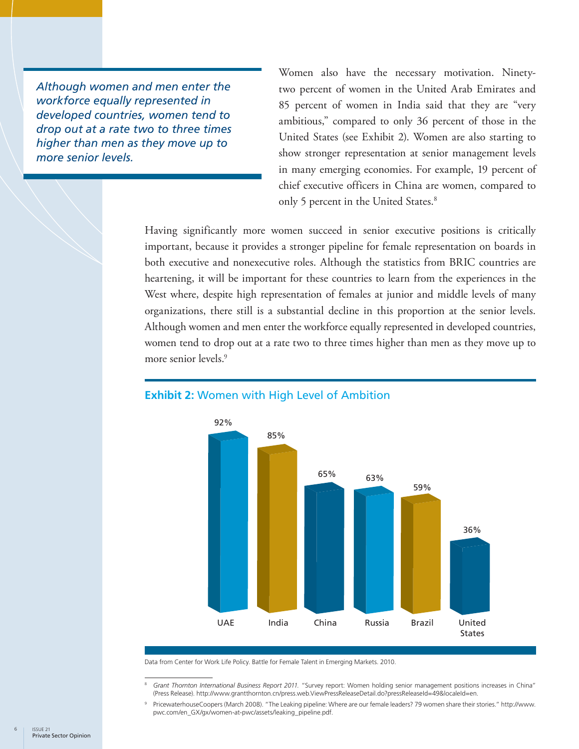*Although women and men enter the workforce equally represented in developed countries, women tend to drop out at a rate two to three times higher than men as they move up to more senior levels.* 

Women also have the necessary motivation. Ninetytwo percent of women in the United Arab Emirates and 85 percent of women in India said that they are "very ambitious," compared to only 36 percent of those in the United States (see Exhibit 2). Women are also starting to show stronger representation at senior management levels in many emerging economies. For example, 19 percent of chief executive officers in China are women, compared to only 5 percent in the United States.<sup>8</sup>

Having significantly more women succeed in senior executive positions is critically important, because it provides a stronger pipeline for female representation on boards in both executive and nonexecutive roles. Although the statistics from BRIC countries are heartening, it will be important for these countries to learn from the experiences in the West where, despite high representation of females at junior and middle levels of many organizations, there still is a substantial decline in this proportion at the senior levels. Although women and men enter the workforce equally represented in developed countries, women tend to drop out at a rate two to three times higher than men as they move up to more senior levels.<sup>9</sup>





Data from Center for Work Life Policy. Battle for Female Talent in Emerging Markets. 2010.

<sup>8</sup> *Grant Thornton International Business Report 2011.* "Survey report: Women holding senior management positions increases in China" (Press Release). http://www.grantthornton.cn/press.web.ViewPressReleaseDetail.do?pressReleaseId=49&localeId=en.

<sup>9</sup> PricewaterhouseCoopers (March 2008). "The Leaking pipeline: Where are our female leaders? 79 women share their stories." http://www. pwc.com/en\_GX/gx/women-at-pwc/assets/leaking\_pipeline.pdf.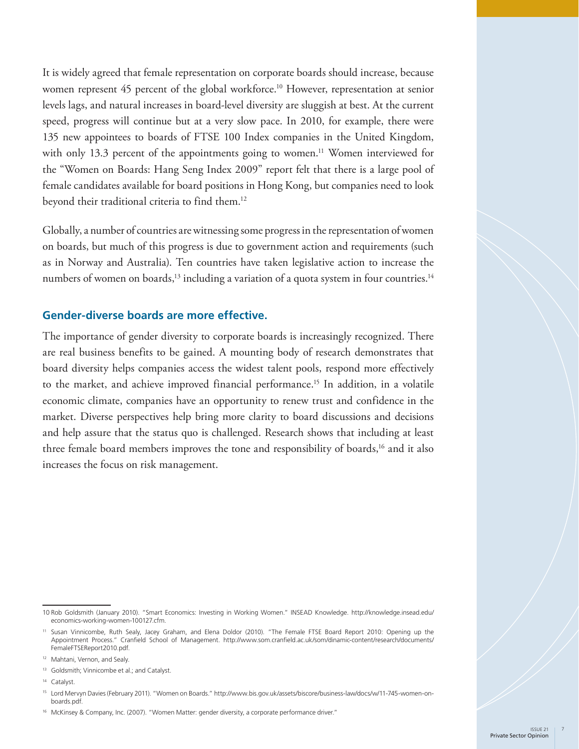It is widely agreed that female representation on corporate boards should increase, because women represent 45 percent of the global workforce.<sup>10</sup> However, representation at senior levels lags, and natural increases in board-level diversity are sluggish at best. At the current speed, progress will continue but at a very slow pace. In 2010, for example, there were 135 new appointees to boards of FTSE 100 Index companies in the United Kingdom, with only 13.3 percent of the appointments going to women.<sup>11</sup> Women interviewed for the "Women on Boards: Hang Seng Index 2009" report felt that there is a large pool of female candidates available for board positions in Hong Kong, but companies need to look beyond their traditional criteria to find them.<sup>12</sup>

Globally, a number of countries are witnessing some progress in the representation of women on boards, but much of this progress is due to government action and requirements (such as in Norway and Australia). Ten countries have taken legislative action to increase the numbers of women on boards,<sup>13</sup> including a variation of a quota system in four countries.<sup>14</sup>

#### **Gender-diverse boards are more effective.**

The importance of gender diversity to corporate boards is increasingly recognized. There are real business benefits to be gained. A mounting body of research demonstrates that board diversity helps companies access the widest talent pools, respond more effectively to the market, and achieve improved financial performance.<sup>15</sup> In addition, in a volatile economic climate, companies have an opportunity to renew trust and confidence in the market. Diverse perspectives help bring more clarity to board discussions and decisions and help assure that the status quo is challenged. Research shows that including at least three female board members improves the tone and responsibility of boards,<sup>16</sup> and it also increases the focus on risk management.

<sup>10</sup> Rob Goldsmith (January 2010). "Smart Economics: Investing in Working Women." INSEAD Knowledge. http://knowledge.insead.edu/ economics-working-women-100127.cfm.

<sup>11</sup> Susan Vinnicombe, Ruth Sealy, Jacey Graham, and Elena Doldor (2010). "The Female FTSE Board Report 2010: Opening up the Appointment Process." Cranfield School of Management. http://www.som.cranfield.ac.uk/som/dinamic-content/research/documents/ FemaleFTSEReport2010.pdf.

<sup>&</sup>lt;sup>12</sup> Mahtani, Vernon, and Sealy.

<sup>&</sup>lt;sup>13</sup> Goldsmith; Vinnicombe et al.; and Catalyst.

<sup>14</sup> Catalyst.

<sup>15</sup> Lord Mervyn Davies (February 2011). "Women on Boards." http://www.bis.gov.uk/assets/biscore/business-law/docs/w/11-745-women-onboards.pdf.

<sup>&</sup>lt;sup>16</sup> McKinsey & Company, Inc. (2007). "Women Matter: gender diversity, a corporate performance driver."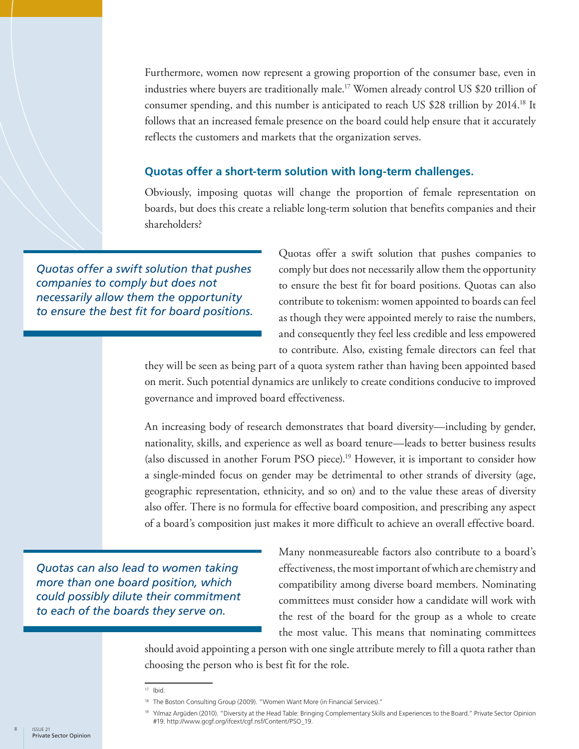Furthermore, women now represent a growing proportion of the consumer base, even in industries where buyers are traditionally male.17 Women already control US \$20 trillion of consumer spending, and this number is anticipated to reach US \$28 trillion by 2014.18 It follows that an increased female presence on the board could help ensure that it accurately reflects the customers and markets that the organization serves.

#### **Quotas offer a short-term solution with long-term challenges.**

Obviously, imposing quotas will change the proportion of female representation on boards, but does this create a reliable long-term solution that benefits companies and their shareholders?

*Quotas offer a swift solution that pushes companies to comply but does not necessarily allow them the opportunity to ensure the best fit for board positions.* 

Quotas offer a swift solution that pushes companies to comply but does not necessarily allow them the opportunity to ensure the best fit for board positions. Quotas can also contribute to tokenism: women appointed to boards can feel as though they were appointed merely to raise the numbers, and consequently they feel less credible and less empowered to contribute. Also, existing female directors can feel that

they will be seen as being part of a quota system rather than having been appointed based on merit. Such potential dynamics are unlikely to create conditions conducive to improved governance and improved board effectiveness.

An increasing body of research demonstrates that board diversity—including by gender, nationality, skills, and experience as well as board tenure—leads to better business results (also discussed in another Forum PSO piece).19 However, it is important to consider how a single-minded focus on gender may be detrimental to other strands of diversity (age, geographic representation, ethnicity, and so on) and to the value these areas of diversity also offer. There is no formula for effective board composition, and prescribing any aspect of a board's composition just makes it more difficult to achieve an overall effective board.

*Quotas can also lead to women taking more than one board position, which could possibly dilute their commitment to each of the boards they serve on.*

Many nonmeasureable factors also contribute to a board's effectiveness, the most important of which are chemistry and compatibility among diverse board members. Nominating committees must consider how a candidate will work with the rest of the board for the group as a whole to create the most value. This means that nominating committees

should avoid appointing a person with one single attribute merely to fill a quota rather than choosing the person who is best fit for the role.

<sup>17</sup> Ibid.

<sup>&</sup>lt;sup>18</sup> The Boston Consulting Group (2009). "Women Want More (in Financial Services)."

<sup>&</sup>lt;sup>19</sup> Yılmaz Argüden (2010). "Diversity at the Head Table: Bringing Complementary Skills and Experiences to the Board." Private Sector Opinion #19. http://www.gcgf.org/ifcext/cgf.nsf/Content/PSO\_19.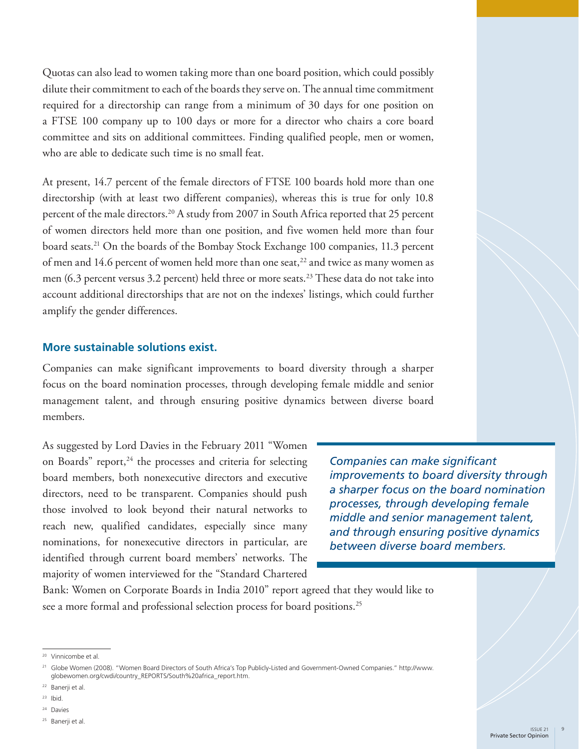Quotas can also lead to women taking more than one board position, which could possibly dilute their commitment to each of the boards they serve on. The annual time commitment required for a directorship can range from a minimum of 30 days for one position on a FTSE 100 company up to 100 days or more for a director who chairs a core board committee and sits on additional committees. Finding qualified people, men or women, who are able to dedicate such time is no small feat.

At present, 14.7 percent of the female directors of FTSE 100 boards hold more than one directorship (with at least two different companies), whereas this is true for only 10.8 percent of the male directors.<sup>20</sup> A study from 2007 in South Africa reported that 25 percent of women directors held more than one position, and five women held more than four board seats.21 On the boards of the Bombay Stock Exchange 100 companies, 11.3 percent of men and 14.6 percent of women held more than one seat, $^{22}$  and twice as many women as men (6.3 percent versus 3.2 percent) held three or more seats.<sup>23</sup> These data do not take into account additional directorships that are not on the indexes' listings, which could further amplify the gender differences.

#### **More sustainable solutions exist.**

Companies can make significant improvements to board diversity through a sharper focus on the board nomination processes, through developing female middle and senior management talent, and through ensuring positive dynamics between diverse board members.

As suggested by Lord Davies in the February 2011 "Women on Boards" report,<sup>24</sup> the processes and criteria for selecting board members, both nonexecutive directors and executive directors, need to be transparent. Companies should push those involved to look beyond their natural networks to reach new, qualified candidates, especially since many nominations, for nonexecutive directors in particular, are identified through current board members' networks. The majority of women interviewed for the "Standard Chartered

*Companies can make significant improvements to board diversity through a sharper focus on the board nomination processes, through developing female middle and senior management talent, and through ensuring positive dynamics between diverse board members.* 

Bank: Women on Corporate Boards in India 2010" report agreed that they would like to see a more formal and professional selection process for board positions.<sup>25</sup>

<sup>20</sup> Vinnicombe et al.

<sup>21</sup> Globe Women (2008). "Women Board Directors of South Africa's Top Publicly-Listed and Government-Owned Companies." http://www. globewomen.org/cwdi/country\_REPORTS/South%20africa\_report.htm.

<sup>22</sup> Banerji et al.

 $23$  Ibid.

<sup>24</sup> Davies

<sup>25</sup> Banerji et al.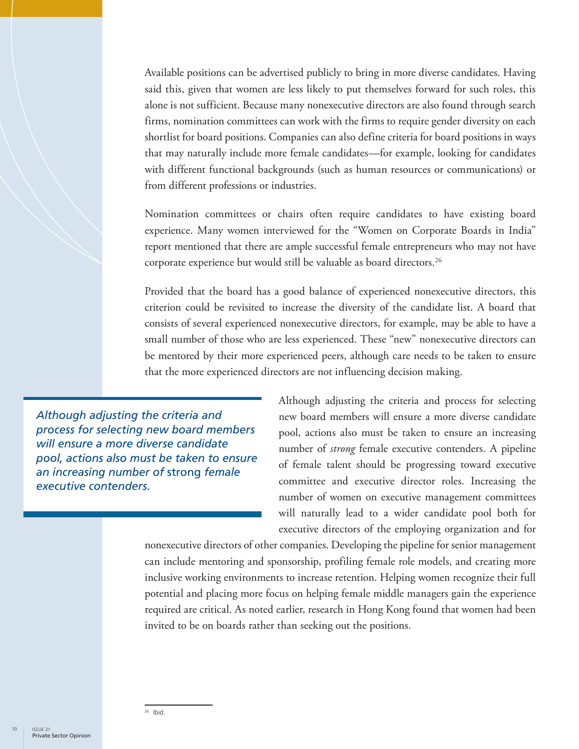Available positions can be advertised publicly to bring in more diverse candidates. Having said this, given that women are less likely to put themselves forward for such roles, this alone is not sufficient. Because many nonexecutive directors are also found through search firms, nomination committees can work with the firms to require gender diversity on each shortlist for board positions. Companies can also define criteria for board positions in ways that may naturally include more female candidates—for example, looking for candidates with different functional backgrounds (such as human resources or communications) or from different professions or industries.

Nomination committees or chairs often require candidates to have existing board experience. Many women interviewed for the "Women on Corporate Boards in India" report mentioned that there are ample successful female entrepreneurs who may not have corporate experience but would still be valuable as board directors.<sup>26</sup>

Provided that the board has a good balance of experienced nonexecutive directors, this criterion could be revisited to increase the diversity of the candidate list. A board that consists of several experienced nonexecutive directors, for example, may be able to have a small number of those who are less experienced. These "new" nonexecutive directors can be mentored by their more experienced peers, although care needs to be taken to ensure that the more experienced directors are not influencing decision making.

*Although adjusting the criteria and process for selecting new board members will ensure a more diverse candidate pool, actions also must be taken to ensure an increasing number of* strong *female executive contenders.*

Although adjusting the criteria and process for selecting new board members will ensure a more diverse candidate pool, actions also must be taken to ensure an increasing number of *strong* female executive contenders. A pipeline of female talent should be progressing toward executive committee and executive director roles. Increasing the number of women on executive management committees will naturally lead to a wider candidate pool both for executive directors of the employing organization and for

nonexecutive directors of other companies. Developing the pipeline for senior management can include mentoring and sponsorship, profiling female role models, and creating more inclusive working environments to increase retention. Helping women recognize their full potential and placing more focus on helping female middle managers gain the experience required are critical. As noted earlier, research in Hong Kong found that women had been invited to be on boards rather than seeking out the positions.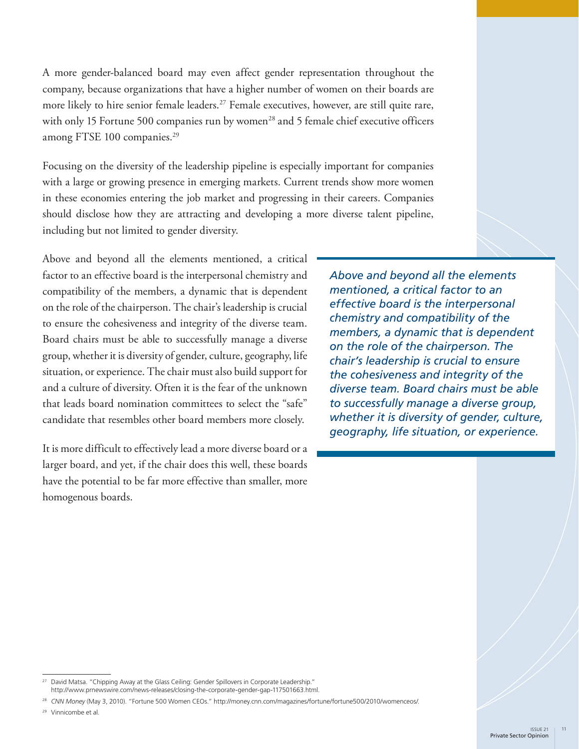A more gender-balanced board may even affect gender representation throughout the company, because organizations that have a higher number of women on their boards are more likely to hire senior female leaders.<sup>27</sup> Female executives, however, are still quite rare, with only 15 Fortune 500 companies run by women<sup>28</sup> and 5 female chief executive officers among FTSE 100 companies.<sup>29</sup>

Focusing on the diversity of the leadership pipeline is especially important for companies with a large or growing presence in emerging markets. Current trends show more women in these economies entering the job market and progressing in their careers. Companies should disclose how they are attracting and developing a more diverse talent pipeline, including but not limited to gender diversity.

Above and beyond all the elements mentioned, a critical factor to an effective board is the interpersonal chemistry and compatibility of the members, a dynamic that is dependent on the role of the chairperson. The chair's leadership is crucial to ensure the cohesiveness and integrity of the diverse team. Board chairs must be able to successfully manage a diverse group, whether it is diversity of gender, culture, geography, life situation, or experience. The chair must also build support for and a culture of diversity. Often it is the fear of the unknown that leads board nomination committees to select the "safe" candidate that resembles other board members more closely.

It is more difficult to effectively lead a more diverse board or a larger board, and yet, if the chair does this well, these boards have the potential to be far more effective than smaller, more homogenous boards.

*Above and beyond all the elements mentioned, a critical factor to an effective board is the interpersonal chemistry and compatibility of the members, a dynamic that is dependent on the role of the chairperson. The chair's leadership is crucial to ensure the cohesiveness and integrity of the diverse team. Board chairs must be able to successfully manage a diverse group, whether it is diversity of gender, culture, geography, life situation, or experience.*

<sup>27</sup> David Matsa. "Chipping Away at the Glass Ceiling: Gender Spillovers in Corporate Leadership." http://www.prnewswire.com/news-releases/closing-the-corporate-gender-gap-117501663.html.

<sup>28</sup>*CNN Money* (May 3, 2010). "Fortune 500 Women CEOs." http://money.cnn.com/magazines/fortune/fortune500/2010/womenceos/.

<sup>29</sup> Vinnicombe et al.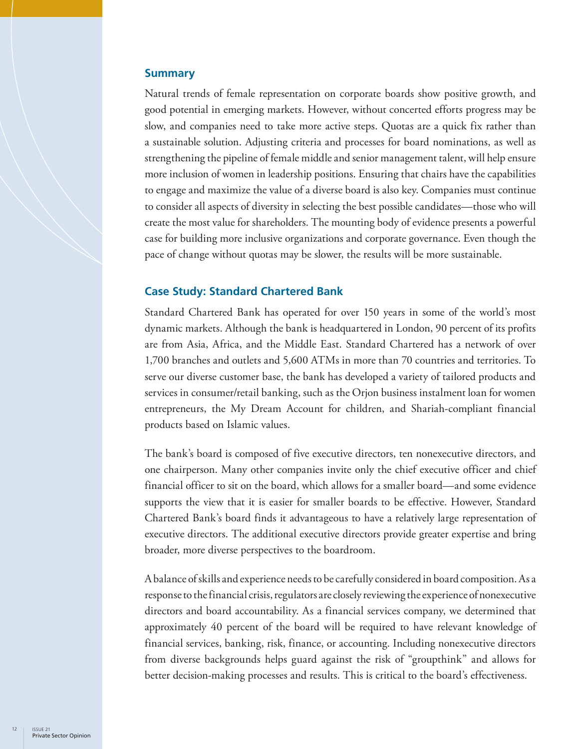#### **Summary**

Natural trends of female representation on corporate boards show positive growth, and good potential in emerging markets. However, without concerted efforts progress may be slow, and companies need to take more active steps. Quotas are a quick fix rather than a sustainable solution. Adjusting criteria and processes for board nominations, as well as strengthening the pipeline of female middle and senior management talent, will help ensure more inclusion of women in leadership positions. Ensuring that chairs have the capabilities to engage and maximize the value of a diverse board is also key. Companies must continue to consider all aspects of diversity in selecting the best possible candidates—those who will create the most value for shareholders. The mounting body of evidence presents a powerful case for building more inclusive organizations and corporate governance. Even though the pace of change without quotas may be slower, the results will be more sustainable.

#### **Case Study: Standard Chartered Bank**

Standard Chartered Bank has operated for over 150 years in some of the world's most dynamic markets. Although the bank is headquartered in London, 90 percent of its profits are from Asia, Africa, and the Middle East. Standard Chartered has a network of over 1,700 branches and outlets and 5,600 ATMs in more than 70 countries and territories. To serve our diverse customer base, the bank has developed a variety of tailored products and services in consumer/retail banking, such as the Orjon business instalment loan for women entrepreneurs, the My Dream Account for children, and Shariah-compliant financial products based on Islamic values.

The bank's board is composed of five executive directors, ten nonexecutive directors, and one chairperson. Many other companies invite only the chief executive officer and chief financial officer to sit on the board, which allows for a smaller board—and some evidence supports the view that it is easier for smaller boards to be effective. However, Standard Chartered Bank's board finds it advantageous to have a relatively large representation of executive directors. The additional executive directors provide greater expertise and bring broader, more diverse perspectives to the boardroom.

A balance of skills and experience needs to be carefully considered in board composition. As a response to the financial crisis, regulators are closely reviewing the experience of nonexecutive directors and board accountability. As a financial services company, we determined that approximately 40 percent of the board will be required to have relevant knowledge of financial services, banking, risk, finance, or accounting. Including nonexecutive directors from diverse backgrounds helps guard against the risk of "groupthink" and allows for better decision-making processes and results. This is critical to the board's effectiveness.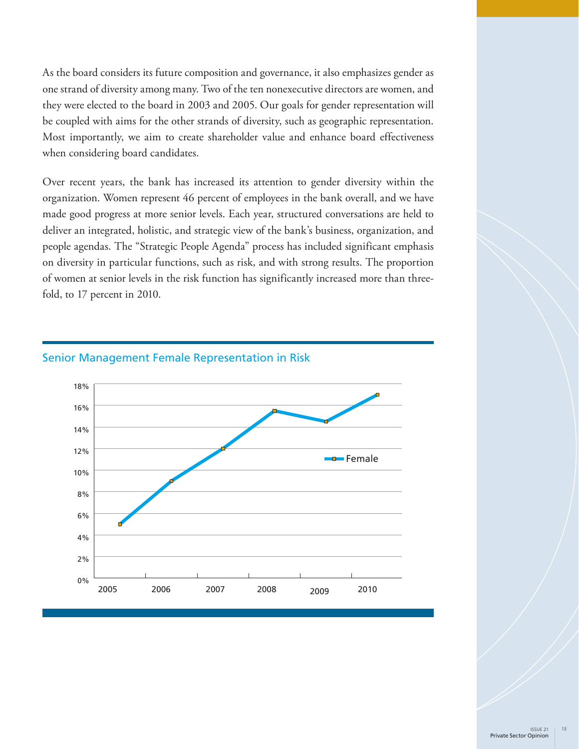As the board considers its future composition and governance, it also emphasizes gender as one strand of diversity among many. Two of the ten nonexecutive directors are women, and they were elected to the board in 2003 and 2005. Our goals for gender representation will be coupled with aims for the other strands of diversity, such as geographic representation. Most importantly, we aim to create shareholder value and enhance board effectiveness when considering board candidates.

Over recent years, the bank has increased its attention to gender diversity within the organization. Women represent 46 percent of employees in the bank overall, and we have made good progress at more senior levels. Each year, structured conversations are held to deliver an integrated, holistic, and strategic view of the bank's business, organization, and people agendas. The "Strategic People Agenda" process has included significant emphasis on diversity in particular functions, such as risk, and with strong results. The proportion of women at senior levels in the risk function has significantly increased more than threefold, to 17 percent in 2010.



#### Senior Management Female Representation in Risk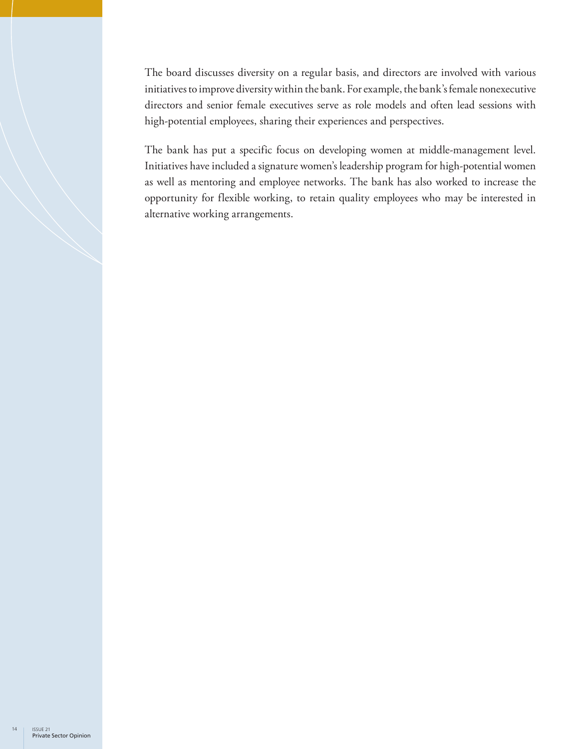The board discusses diversity on a regular basis, and directors are involved with various initiatives to improve diversity within the bank. For example, the bank's female nonexecutive directors and senior female executives serve as role models and often lead sessions with high-potential employees, sharing their experiences and perspectives.

The bank has put a specific focus on developing women at middle-management level. Initiatives have included a signature women's leadership program for high-potential women as well as mentoring and employee networks. The bank has also worked to increase the opportunity for flexible working, to retain quality employees who may be interested in alternative working arrangements.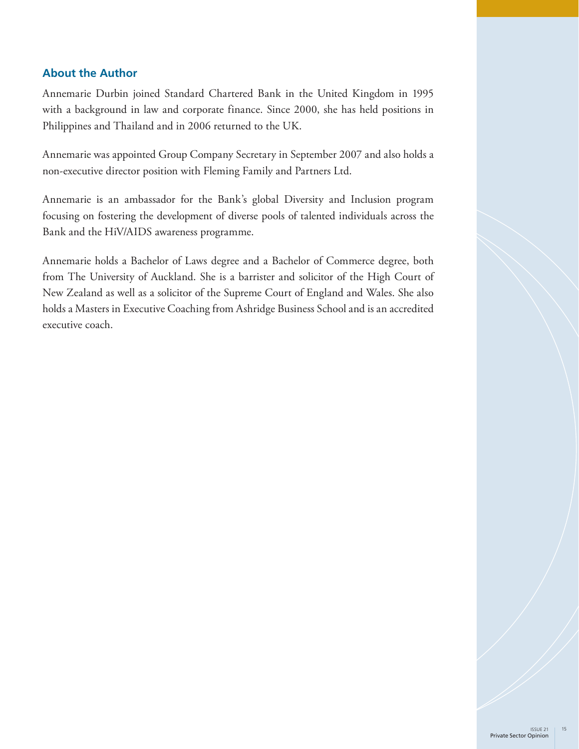#### **About the Author**

Annemarie Durbin joined Standard Chartered Bank in the United Kingdom in 1995 with a background in law and corporate finance. Since 2000, she has held positions in Philippines and Thailand and in 2006 returned to the UK.

Annemarie was appointed Group Company Secretary in September 2007 and also holds a non-executive director position with Fleming Family and Partners Ltd.

Annemarie is an ambassador for the Bank's global Diversity and Inclusion program focusing on fostering the development of diverse pools of talented individuals across the Bank and the HiV/AIDS awareness programme.

Annemarie holds a Bachelor of Laws degree and a Bachelor of Commerce degree, both from The University of Auckland. She is a barrister and solicitor of the High Court of New Zealand as well as a solicitor of the Supreme Court of England and Wales. She also holds a Masters in Executive Coaching from Ashridge Business School and is an accredited executive coach.